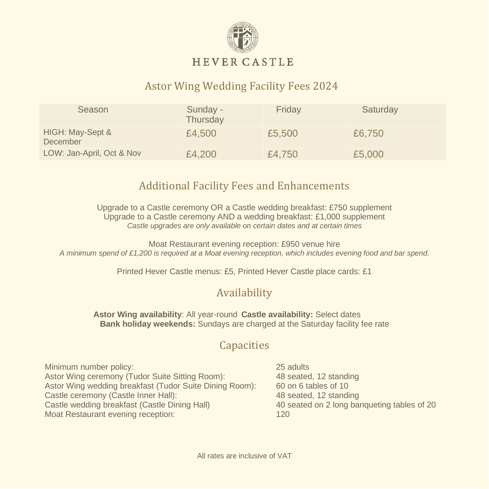

#### **HEVER CASTLE**

## Astor Wing Wedding Facility Fees 2024

| Season                       | Sunday -<br>Thursday | Friday | Saturday |
|------------------------------|----------------------|--------|----------|
| HIGH: May-Sept &<br>December | £4,500               | £5,500 | £6,750   |
| LOW: Jan-April, Oct & Nov    | £4,200               | £4,750 | £5,000   |

#### Additional Facility Fees and Enhancements

Upgrade to a Castle ceremony OR a Castle wedding breakfast: £750 supplement Upgrade to a Castle ceremony AND a wedding breakfast: £1,000 supplement *Castle upgrades are only available on certain dates and at certain times*

Moat Restaurant evening reception: £950 venue hire *A minimum spend of £1,200 is required at a Moat evening reception, which includes evening food and bar spend.*

Printed Hever Castle menus: £5, Printed Hever Castle place cards: £1

#### Availability

**Astor Wing availability**: All year-round **Castle availability:** Select dates **Bank holiday weekends:** Sundays are charged at the Saturday facility fee rate

#### **Capacities**

Minimum number policy: 25 adults Astor Wing ceremony (Tudor Suite Sitting Room): 48 seated, 12 standing Astor Wing wedding breakfast (Tudor Suite Dining Room): 60 on 6 tables of 10 Castle ceremony (Castle Inner Hall): 48 seated, 12 standing Castle wedding breakfast (Castle Dining Hall) 40 seated on 2 long banqueting tables of 20 Moat Restaurant evening reception: 120